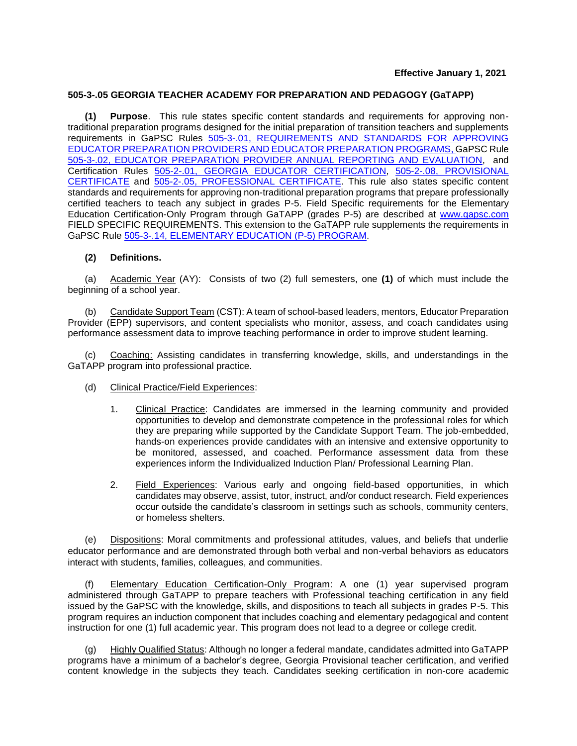### **505-3-.05 GEORGIA TEACHER ACADEMY FOR PREPARATION AND PEDAGOGY (GaTAPP)**

**(1) Purpose**. This rule states specific content standards and requirements for approving nontraditional preparation programs designed for the initial preparation of transition teachers and supplements requirements in GaPSC Rules 505-3-.01, ['>REQUIREMENTS AND STANDARDS FOR APPROVING](https://www.gapsc.com/Rules/Current/EducatorPreparation/505-3-.01.pdf?dt=%3c%25#Eval()  EDUCATOR PREPARATION ['>PROVIDERS AND EDUCATOR PREPARATION PROGRAMS,](https://www.gapsc.com/Rules/Current/EducatorPreparation/505-3-.01.pdf?dt=%3c%25#Eval() ['>GaPSC Rule](https://www.gapsc.com/Rules/Current/EducatorPreparation/505-3-.02.pdf?dt=%3c%25#Eval() 505-3-.02, ['>EDUCATOR PREPARATION PROVIDER ANNUAL REPORTING AND EVALUATION,](https://www.gapsc.com/Rules/Current/EducatorPreparation/505-3-.02.pdf?dt=%3c%25#Eval() and Certification Rules 505-2-.01, ['>GEORGIA EDUCATOR CERTIFICATION,](https://www.gapsc.com/Rules/Current/Certification/505-2-.01.pdf?dt=%3c%25#Eval() 505-2-.08, [PROVISIONAL](https://www.gapsc.com/Commission/Rules/Proposed/Download/20200101/505-2-.08.pdf)  [CERTIFICATE](https://www.gapsc.com/Commission/Rules/Proposed/Download/20200101/505-2-.08.pdf) and 505-2-.05, ['>PROFESSIONAL CERTIFICATE.](https://www.gapsc.com/Rules/Current/Certification/505-2-.05.pdf?dt=%3c%25#Eval() This rule also states specific content standards and requirements for approving non-traditional preparation programs that prepare professionally certified teachers to teach any subject in grades P-5. Field Specific requirements for the Elementary Education Certification-Only Program through GaTAPP (grades P-5) are described at [www.gapsc.com](https://www.gapsc.com/EducatorPreparation/Downloads/Field-Specific%20Requirements%20for%20GaTAPP.pdf) FIELD SPECIFIC REQUIREMENTS. This extension to the GaTAPP rule supplements the requirements in GaPSC Rule 505-3-.14, [ELEMENTARY](http://www.gapsc.com/Rules/Current/EducatorPreparation/505-3-.14.pdf?dt=636017513085894343) EDUCATION (P-5) PROGRAM.

#### **(2) Definitions.**

(a) Academic Year (AY): Consists of two (2) full semesters, one **(1)** of which must include the beginning of a school year.

(b) Candidate Support Team (CST): A team of school-based leaders, mentors, Educator Preparation Provider (EPP) supervisors, and content specialists who monitor, assess, and coach candidates using performance assessment data to improve teaching performance in order to improve student learning.

Coaching: Assisting candidates in transferring knowledge, skills, and understandings in the GaTAPP program into professional practice.

- (d) Clinical Practice/Field Experiences:
	- 1. Clinical Practice: Candidates are immersed in the learning community and provided opportunities to develop and demonstrate competence in the professional roles for which they are preparing while supported by the Candidate Support Team. The job-embedded, hands-on experiences provide candidates with an intensive and extensive opportunity to be monitored, assessed, and coached. Performance assessment data from these experiences inform the Individualized Induction Plan/ Professional Learning Plan.
	- 2. Field Experiences: Various early and ongoing field-based opportunities, in which candidates may observe, assist, tutor, instruct, and/or conduct research. Field experiences occur outside the candidate's classroom in settings such as schools, community centers, or homeless shelters.

(e) Dispositions: Moral commitments and professional attitudes, values, and beliefs that underlie educator performance and are demonstrated through both verbal and non-verbal behaviors as educators interact with students, families, colleagues, and communities.

(f) Elementary Education Certification-Only Program: A one (1) year supervised program administered through GaTAPP to prepare teachers with Professional teaching certification in any field issued by the GaPSC with the knowledge, skills, and dispositions to teach all subjects in grades P-5. This program requires an induction component that includes coaching and elementary pedagogical and content instruction for one (1) full academic year. This program does not lead to a degree or college credit.

Highly Qualified Status: Although no longer a federal mandate, candidates admitted into GaTAPP programs have a minimum of a bachelor's degree, Georgia Provisional teacher certification, and verified content knowledge in the subjects they teach. Candidates seeking certification in non-core academic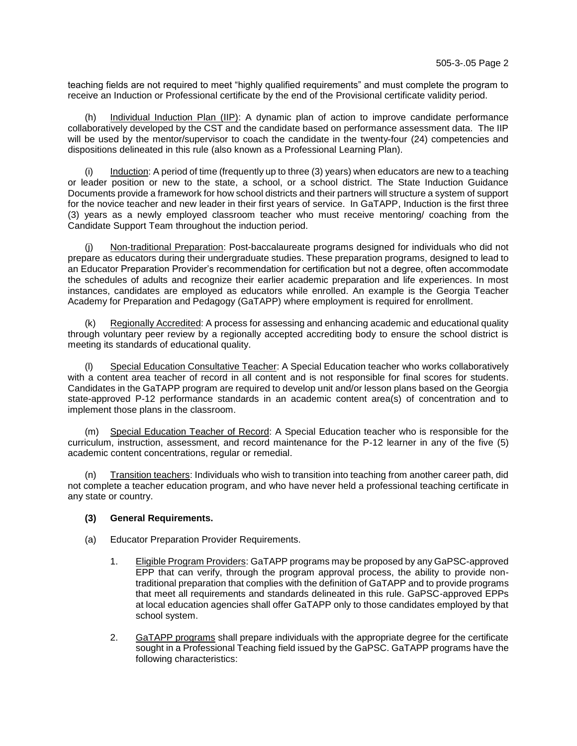teaching fields are not required to meet "highly qualified requirements" and must complete the program to receive an Induction or Professional certificate by the end of the Provisional certificate validity period.

Individual Induction Plan (IIP): A dynamic plan of action to improve candidate performance collaboratively developed by the CST and the candidate based on performance assessment data. The IIP will be used by the mentor/supervisor to coach the candidate in the twenty-four (24) competencies and dispositions delineated in this rule (also known as a Professional Learning Plan).

(i) Induction: A period of time (frequently up to three (3) years) when educators are new to a teaching or leader position or new to the state, a school, or a school district. The State Induction Guidance Documents provide a framework for how school districts and their partners will structure a system of support for the novice teacher and new leader in their first years of service. In GaTAPP, Induction is the first three (3) years as a newly employed classroom teacher who must receive mentoring/ coaching from the Candidate Support Team throughout the induction period.

(j) Non-traditional Preparation: Post-baccalaureate programs designed for individuals who did not prepare as educators during their undergraduate studies. These preparation programs, designed to lead to an Educator Preparation Provider's recommendation for certification but not a degree, often accommodate the schedules of adults and recognize their earlier academic preparation and life experiences. In most instances, candidates are employed as educators while enrolled. An example is the Georgia Teacher Academy for Preparation and Pedagogy (GaTAPP) where employment is required for enrollment.

(k) Regionally Accredited: A process for assessing and enhancing academic and educational quality through voluntary peer review by a regionally accepted accrediting body to ensure the school district is meeting its standards of educational quality.

(l) Special Education Consultative Teacher: A Special Education teacher who works collaboratively with a content area teacher of record in all content and is not responsible for final scores for students. Candidates in the GaTAPP program are required to develop unit and/or lesson plans based on the Georgia state-approved P-12 performance standards in an academic content area(s) of concentration and to implement those plans in the classroom.

(m) Special Education Teacher of Record: A Special Education teacher who is responsible for the curriculum, instruction, assessment, and record maintenance for the P-12 learner in any of the five (5) academic content concentrations, regular or remedial.

Transition teachers: Individuals who wish to transition into teaching from another career path, did not complete a teacher education program, and who have never held a professional teaching certificate in any state or country.

# **(3) General Requirements.**

- (a) Educator Preparation Provider Requirements.
	- 1. Eligible Program Providers: GaTAPP programs may be proposed by any GaPSC-approved EPP that can verify, through the program approval process, the ability to provide nontraditional preparation that complies with the definition of GaTAPP and to provide programs that meet all requirements and standards delineated in this rule. GaPSC-approved EPPs at local education agencies shall offer GaTAPP only to those candidates employed by that school system.
	- 2. GaTAPP programs shall prepare individuals with the appropriate degree for the certificate sought in a Professional Teaching field issued by the GaPSC. GaTAPP programs have the following characteristics: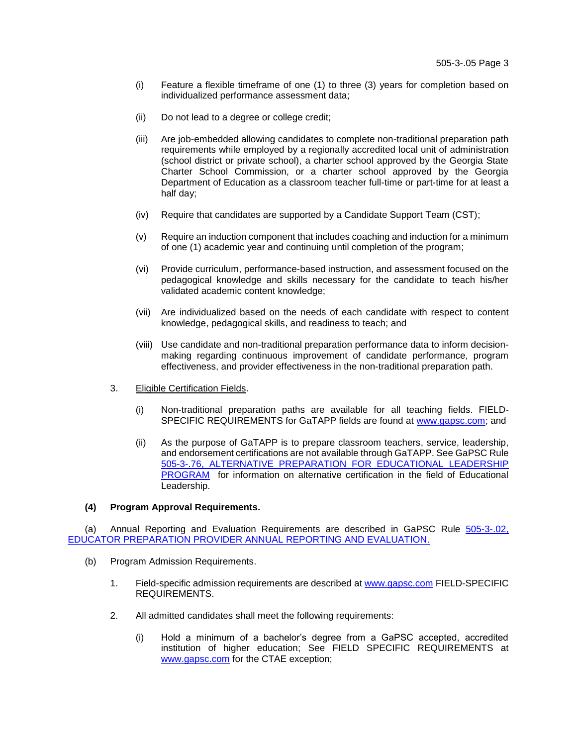- (i) Feature a flexible timeframe of one (1) to three (3) years for completion based on individualized performance assessment data;
- (ii) Do not lead to a degree or college credit;
- (iii) Are job-embedded allowing candidates to complete non-traditional preparation path requirements while employed by a regionally accredited local unit of administration (school district or private school), a charter school approved by the Georgia State Charter School Commission, or a charter school approved by the Georgia Department of Education as a classroom teacher full-time or part-time for at least a half day;
- (iv) Require that candidates are supported by a Candidate Support Team (CST);
- (v) Require an induction component that includes coaching and induction for a minimum of one (1) academic year and continuing until completion of the program;
- (vi) Provide curriculum, performance-based instruction, and assessment focused on the pedagogical knowledge and skills necessary for the candidate to teach his/her validated academic content knowledge;
- (vii) Are individualized based on the needs of each candidate with respect to content knowledge, pedagogical skills, and readiness to teach; and
- (viii) Use candidate and non-traditional preparation performance data to inform decisionmaking regarding continuous improvement of candidate performance, program effectiveness, and provider effectiveness in the non-traditional preparation path.
- 3. Eligible Certification Fields.
	- (i) Non-traditional preparation paths are available for all teaching fields. FIELD-SPECIFIC REQUIREMENTS for GaTAPP fields are found at [www.gapsc.com;](https://www.gapsc.com/EducatorPreparation/Downloads/Field-Specific%20Requirements%20for%20GaTAPP.pdf) and
	- (ii) As the purpose of GaTAPP is to prepare classroom teachers, service, leadership, and endorsement certifications are not available through GaTAPP. See GaPSC Rule 505-3-.76, ['>ALTERNATIVE PREPARATION FOR EDUCATIONAL LEADERSHIP](https://www.gapsc.com/Rules/Current/EducatorPreparation/505-3-.76.pdf?dt=%3c%25#Eval()  ['>PROGRAM](https://www.gapsc.com/Rules/Current/EducatorPreparation/505-3-.76.pdf?dt=%3c%25#Eval() for information on alternative certification in the field of Educational Leadership.

### **(4) Program Approval Requirements.**

(a) Annual Reporting and Evaluation Requirements are described in GaPSC Rule [505-3-.02,](http://www.gapsc.com/Rules/Current/EducatorPreparation/505-3-.02.pdf?dt=636017550919704794) [EDUCATOR PREPARATION PROVIDER ANNUAL REPORTING AND EVALUATION.](http://www.gapsc.com/Rules/Current/EducatorPreparation/505-3-.02.pdf?dt=636017550919704794)

- (b) Program Admission Requirements.
	- 1. Field-specific admission requirements are described at [www.gapsc.com](https://www.gapsc.com/EducatorPreparation/Downloads/Field-Specific%20Requirements%20for%20GaTAPP.pdf) FIELD-SPECIFIC REQUIREMENTS.
	- 2. All admitted candidates shall meet the following requirements:
		- (i) Hold a minimum of a bachelor's degree from a GaPSC accepted, accredited institution of higher education; See FIELD SPECIFIC REQUIREMENTS at [www.gapsc.com](https://www.gapsc.com/EducatorPreparation/Downloads/Field-Specific%20Requirements%20for%20GaTAPP.pdf) for the CTAE exception;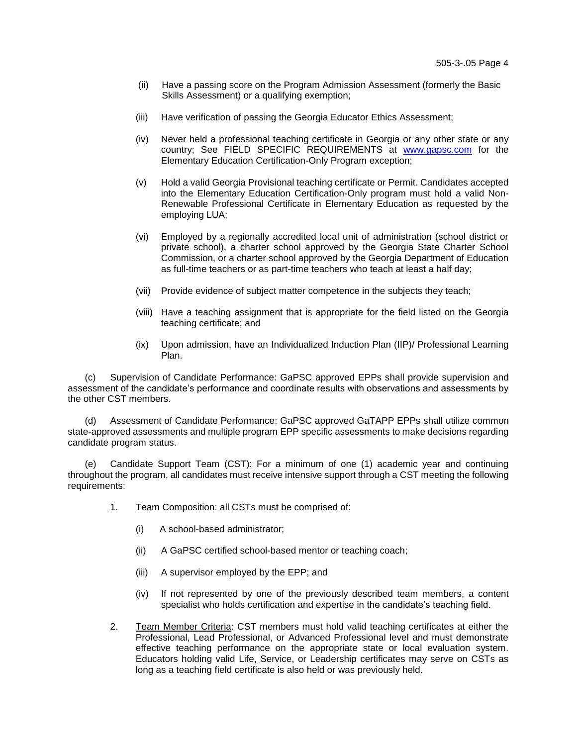- (ii) Have a passing score on the Program Admission Assessment (formerly the Basic Skills Assessment) or a qualifying exemption;
- (iii) Have verification of passing the Georgia Educator Ethics Assessment;
- (iv) Never held a professional teaching certificate in Georgia or any other state or any country; See FIELD SPECIFIC REQUIREMENTS at [www.gapsc.com](https://www.gapsc.com/EducatorPreparation/Downloads/Field-Specific%20Requirements%20for%20GaTAPP.pdf) for the Elementary Education Certification-Only Program exception;
- (v) Hold a valid Georgia Provisional teaching certificate or Permit. Candidates accepted into the Elementary Education Certification-Only program must hold a valid Non-Renewable Professional Certificate in Elementary Education as requested by the employing LUA;
- (vi) Employed by a regionally accredited local unit of administration (school district or private school), a charter school approved by the Georgia State Charter School Commission, or a charter school approved by the Georgia Department of Education as full-time teachers or as part-time teachers who teach at least a half day;
- (vii) Provide evidence of subject matter competence in the subjects they teach;
- (viii) Have a teaching assignment that is appropriate for the field listed on the Georgia teaching certificate; and
- (ix) Upon admission, have an Individualized Induction Plan (IIP)/ Professional Learning Plan.

(c) Supervision of Candidate Performance: GaPSC approved EPPs shall provide supervision and assessment of the candidate's performance and coordinate results with observations and assessments by the other CST members.

(d) Assessment of Candidate Performance: GaPSC approved GaTAPP EPPs shall utilize common state-approved assessments and multiple program EPP specific assessments to make decisions regarding candidate program status.

(e) Candidate Support Team (CST): For a minimum of one (1) academic year and continuing throughout the program, all candidates must receive intensive support through a CST meeting the following requirements:

- 1. Team Composition: all CSTs must be comprised of:
	- (i) A school-based administrator;
	- (ii) A GaPSC certified school-based mentor or teaching coach;
	- (iii) A supervisor employed by the EPP; and
	- (iv) If not represented by one of the previously described team members, a content specialist who holds certification and expertise in the candidate's teaching field.
- 2. Team Member Criteria: CST members must hold valid teaching certificates at either the Professional, Lead Professional, or Advanced Professional level and must demonstrate effective teaching performance on the appropriate state or local evaluation system. Educators holding valid Life, Service, or Leadership certificates may serve on CSTs as long as a teaching field certificate is also held or was previously held.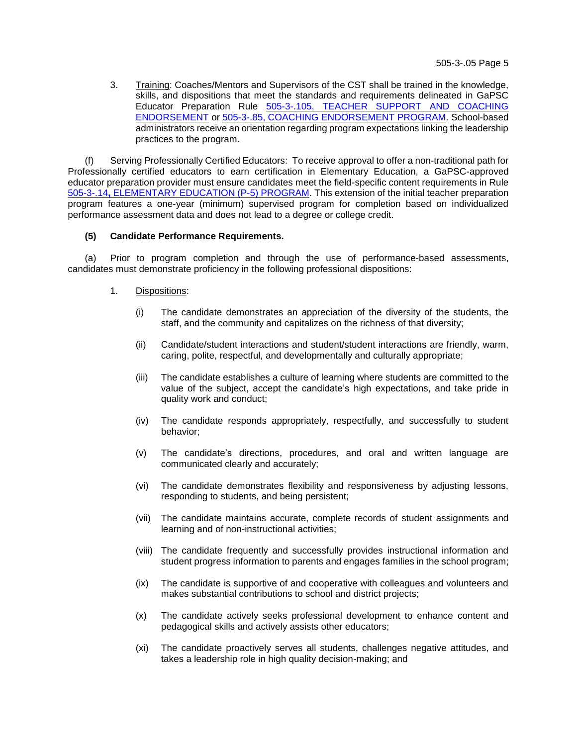3. Training: Coaches/Mentors and Supervisors of the CST shall be trained in the knowledge, skills, and dispositions that meet the standards and requirements delineated in GaPSC Educator Preparation Rule 505-3-.105, ['>TEACHER SUPPORT AND COACHING](https://www.gapsc.com/Rules/Current/EducatorPreparation/505-3-.105.pdf?dt=%3c%25#Eval()  ['>ENDORSEMENT](https://www.gapsc.com/Rules/Current/EducatorPreparation/505-3-.105.pdf?dt=%3c%25#Eval() or 505-3-.85, ['>COACHING ENDORSEMENT](https://www.gapsc.com/Rules/Current/EducatorPreparation/505-3-.85.pdf?dt=%3c%25#Eval() PROGRAM. School-based administrators receive an orientation regarding program expectations linking the leadership practices to the program.

(f) Serving Professionally Certified Educators: To receive approval to offer a non-traditional path for Professionally certified educators to earn certification in Elementary Education, a GaPSC-approved educator preparation provider must ensure candidates meet the field-specific content requirements in Rule 505-3-.14**,** ['>ELEMENTARY EDUCATION \(P-5\) PROGRAM.](https://www.gapsc.com/Rules/Current/EducatorPreparation/505-3-.14.pdf?dt=%3c%25#Eval() This extension of the initial teacher preparation program features a one-year (minimum) supervised program for completion based on individualized performance assessment data and does not lead to a degree or college credit.

# **(5) Candidate Performance Requirements.**

(a) Prior to program completion and through the use of performance-based assessments, candidates must demonstrate proficiency in the following professional dispositions:

- 1. Dispositions:
	- (i) The candidate demonstrates an appreciation of the diversity of the students, the staff, and the community and capitalizes on the richness of that diversity;
	- (ii) Candidate/student interactions and student/student interactions are friendly, warm, caring, polite, respectful, and developmentally and culturally appropriate;
	- (iii) The candidate establishes a culture of learning where students are committed to the value of the subject, accept the candidate's high expectations, and take pride in quality work and conduct;
	- (iv) The candidate responds appropriately, respectfully, and successfully to student behavior;
	- (v) The candidate's directions, procedures, and oral and written language are communicated clearly and accurately;
	- (vi) The candidate demonstrates flexibility and responsiveness by adjusting lessons, responding to students, and being persistent;
	- (vii) The candidate maintains accurate, complete records of student assignments and learning and of non-instructional activities;
	- (viii) The candidate frequently and successfully provides instructional information and student progress information to parents and engages families in the school program;
	- (ix) The candidate is supportive of and cooperative with colleagues and volunteers and makes substantial contributions to school and district projects;
	- (x) The candidate actively seeks professional development to enhance content and pedagogical skills and actively assists other educators;
	- (xi) The candidate proactively serves all students, challenges negative attitudes, and takes a leadership role in high quality decision-making; and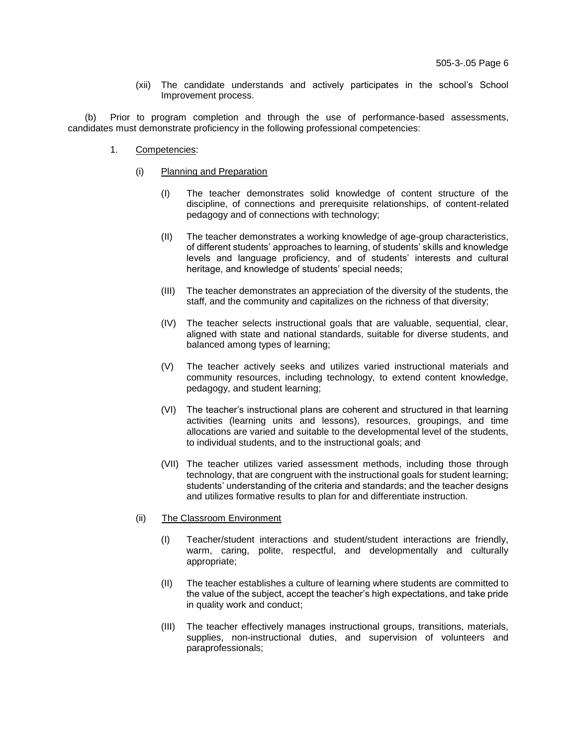(xii) The candidate understands and actively participates in the school's School Improvement process.

(b) Prior to program completion and through the use of performance-based assessments, candidates must demonstrate proficiency in the following professional competencies:

- 1. Competencies:
	- (i) Planning and Preparation
		- (I) The teacher demonstrates solid knowledge of content structure of the discipline, of connections and prerequisite relationships, of content-related pedagogy and of connections with technology;
		- (II) The teacher demonstrates a working knowledge of age-group characteristics, of different students' approaches to learning, of students' skills and knowledge levels and language proficiency, and of students' interests and cultural heritage, and knowledge of students' special needs;
		- (III) The teacher demonstrates an appreciation of the diversity of the students, the staff, and the community and capitalizes on the richness of that diversity;
		- (IV) The teacher selects instructional goals that are valuable, sequential, clear, aligned with state and national standards, suitable for diverse students, and balanced among types of learning;
		- (V) The teacher actively seeks and utilizes varied instructional materials and community resources, including technology, to extend content knowledge, pedagogy, and student learning;
		- (VI) The teacher's instructional plans are coherent and structured in that learning activities (learning units and lessons), resources, groupings, and time allocations are varied and suitable to the developmental level of the students, to individual students, and to the instructional goals; and
		- (VII) The teacher utilizes varied assessment methods, including those through technology, that are congruent with the instructional goals for student learning; students' understanding of the criteria and standards; and the teacher designs and utilizes formative results to plan for and differentiate instruction.
	- (ii) The Classroom Environment
		- (I) Teacher/student interactions and student/student interactions are friendly, warm, caring, polite, respectful, and developmentally and culturally appropriate;
		- (II) The teacher establishes a culture of learning where students are committed to the value of the subject, accept the teacher's high expectations, and take pride in quality work and conduct;
		- (III) The teacher effectively manages instructional groups, transitions, materials, supplies, non-instructional duties, and supervision of volunteers and paraprofessionals;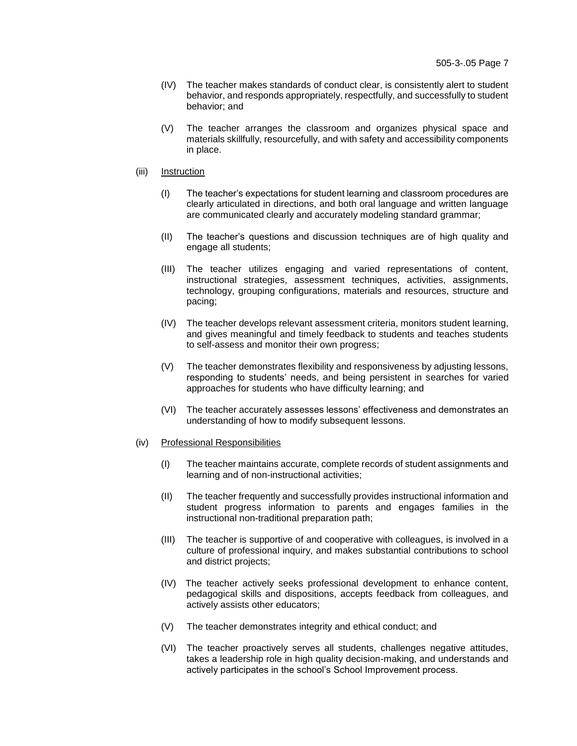- (IV) The teacher makes standards of conduct clear, is consistently alert to student behavior, and responds appropriately, respectfully, and successfully to student behavior; and
- (V) The teacher arranges the classroom and organizes physical space and materials skillfully, resourcefully, and with safety and accessibility components in place.
- (iii) Instruction
	- (I) The teacher's expectations for student learning and classroom procedures are clearly articulated in directions, and both oral language and written language are communicated clearly and accurately modeling standard grammar;
	- (II) The teacher's questions and discussion techniques are of high quality and engage all students;
	- (III) The teacher utilizes engaging and varied representations of content, instructional strategies, assessment techniques, activities, assignments, technology, grouping configurations, materials and resources, structure and pacing;
	- (IV) The teacher develops relevant assessment criteria, monitors student learning, and gives meaningful and timely feedback to students and teaches students to self-assess and monitor their own progress;
	- (V) The teacher demonstrates flexibility and responsiveness by adjusting lessons, responding to students' needs, and being persistent in searches for varied approaches for students who have difficulty learning; and
	- (VI) The teacher accurately assesses lessons' effectiveness and demonstrates an understanding of how to modify subsequent lessons.
- (iv) Professional Responsibilities
	- (I) The teacher maintains accurate, complete records of student assignments and learning and of non-instructional activities;
	- (II) The teacher frequently and successfully provides instructional information and student progress information to parents and engages families in the instructional non-traditional preparation path;
	- (III) The teacher is supportive of and cooperative with colleagues, is involved in a culture of professional inquiry, and makes substantial contributions to school and district projects;
	- (IV) The teacher actively seeks professional development to enhance content, pedagogical skills and dispositions, accepts feedback from colleagues, and actively assists other educators;
	- (V) The teacher demonstrates integrity and ethical conduct; and
	- (VI) The teacher proactively serves all students, challenges negative attitudes, takes a leadership role in high quality decision-making, and understands and actively participates in the school's School Improvement process.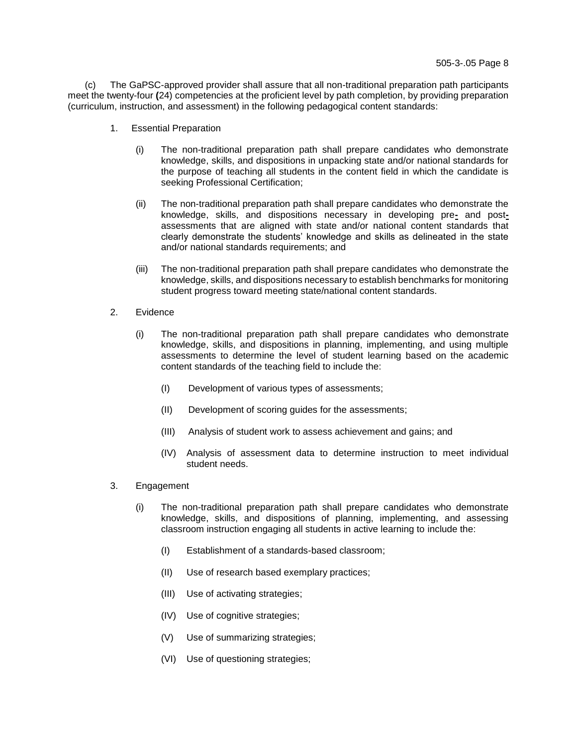(c) The GaPSC-approved provider shall assure that all non-traditional preparation path participants meet the twenty-four **(**24) competencies at the proficient level by path completion, by providing preparation (curriculum, instruction, and assessment) in the following pedagogical content standards:

- 1. Essential Preparation
	- (i) The non-traditional preparation path shall prepare candidates who demonstrate knowledge, skills, and dispositions in unpacking state and/or national standards for the purpose of teaching all students in the content field in which the candidate is seeking Professional Certification;
	- (ii) The non-traditional preparation path shall prepare candidates who demonstrate the knowledge, skills, and dispositions necessary in developing pre**-** and postassessments that are aligned with state and/or national content standards that clearly demonstrate the students' knowledge and skills as delineated in the state and/or national standards requirements; and
	- (iii) The non-traditional preparation path shall prepare candidates who demonstrate the knowledge, skills, and dispositions necessary to establish benchmarks for monitoring student progress toward meeting state/national content standards.
- 2. Evidence
	- (i) The non-traditional preparation path shall prepare candidates who demonstrate knowledge, skills, and dispositions in planning, implementing, and using multiple assessments to determine the level of student learning based on the academic content standards of the teaching field to include the:
		- (I) Development of various types of assessments;
		- (II) Development of scoring guides for the assessments;
		- (III) Analysis of student work to assess achievement and gains; and
		- (IV) Analysis of assessment data to determine instruction to meet individual student needs.
- 3. Engagement
	- (i) The non-traditional preparation path shall prepare candidates who demonstrate knowledge, skills, and dispositions of planning, implementing, and assessing classroom instruction engaging all students in active learning to include the:
		- (I) Establishment of a standards-based classroom;
		- (II) Use of research based exemplary practices;
		- (III) Use of activating strategies;
		- (IV) Use of cognitive strategies;
		- (V) Use of summarizing strategies;
		- (VI) Use of questioning strategies;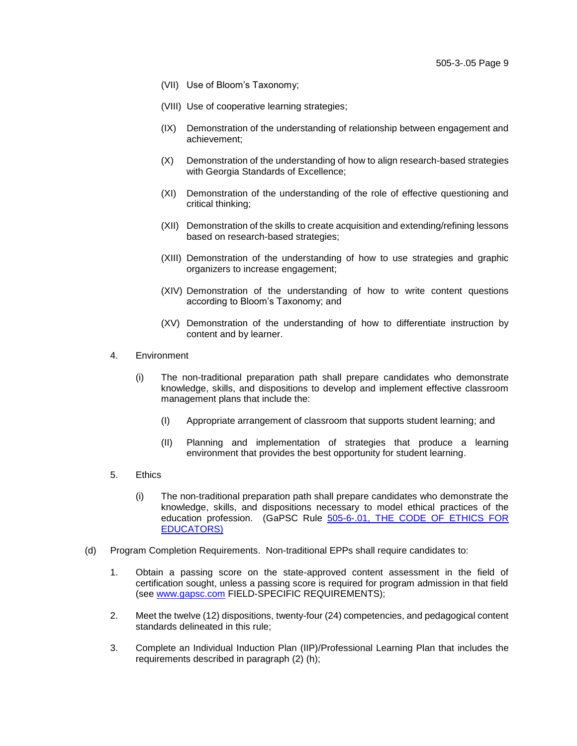- (VII) Use of Bloom's Taxonomy;
- (VIII) Use of cooperative learning strategies;
- (IX) Demonstration of the understanding of relationship between engagement and achievement;
- (X) Demonstration of the understanding of how to align research-based strategies with Georgia Standards of Excellence;
- (XI) Demonstration of the understanding of the role of effective questioning and critical thinking;
- (XII) Demonstration of the skills to create acquisition and extending/refining lessons based on research-based strategies;
- (XIII) Demonstration of the understanding of how to use strategies and graphic organizers to increase engagement;
- (XIV) Demonstration of the understanding of how to write content questions according to Bloom's Taxonomy; and
- (XV) Demonstration of the understanding of how to differentiate instruction by content and by learner.
- 4. Environment
	- (i) The non-traditional preparation path shall prepare candidates who demonstrate knowledge, skills, and dispositions to develop and implement effective classroom management plans that include the:
		- (I) Appropriate arrangement of classroom that supports student learning; and
		- (II) Planning and implementation of strategies that produce a learning environment that provides the best opportunity for student learning.
- 5. Ethics
	- (i) The non-traditional preparation path shall prepare candidates who demonstrate the knowledge, skills, and dispositions necessary to model ethical practices of the education profession. (GaPSC Rule 505-6-.01, THE CODE OF ETHICS FOR [EDUCATORS\)](https://www.gapsc.com/Rules/Current/Ethics/505-6-.01.pdf)
- (d) Program Completion Requirements. Non-traditional EPPs shall require candidates to:
	- 1. Obtain a passing score on the state-approved content assessment in the field of certification sought, unless a passing score is required for program admission in that field (see [www.gapsc.com](https://www.gapsc.com/EducatorPreparation/Downloads/Field-Specific%20Requirements%20for%20GaTAPP.pdf) FIELD-SPECIFIC REQUIREMENTS);
	- 2. Meet the twelve (12) dispositions, twenty-four (24) competencies, and pedagogical content standards delineated in this rule;
	- 3. Complete an Individual Induction Plan (IIP)/Professional Learning Plan that includes the requirements described in paragraph (2) (h);